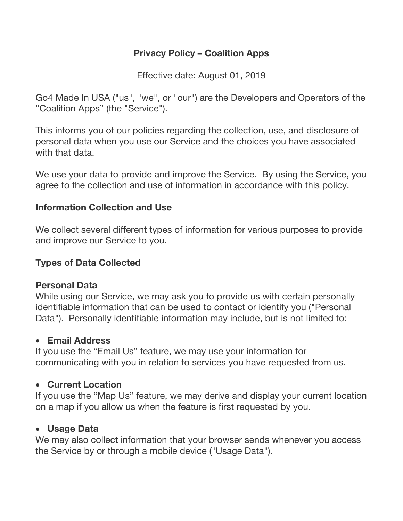# **Privacy Policy – Coalition Apps**

Effective date: August 01, 2019

Go4 Made In USA ("us", "we", or "our") are the Developers and Operators of the "Coalition Apps" (the "Service").

This informs you of our policies regarding the collection, use, and disclosure of personal data when you use our Service and the choices you have associated with that data.

We use your data to provide and improve the Service. By using the Service, you agree to the collection and use of information in accordance with this policy.

### **Information Collection and Use**

We collect several different types of information for various purposes to provide and improve our Service to you.

## **Types of Data Collected**

### **Personal Data**

While using our Service, we may ask you to provide us with certain personally identifiable information that can be used to contact or identify you ("Personal Data"). Personally identifiable information may include, but is not limited to:

### • **Email Address**

If you use the "Email Us" feature, we may use your information for communicating with you in relation to services you have requested from us.

# • **Current Location**

If you use the "Map Us" feature, we may derive and display your current location on a map if you allow us when the feature is first requested by you.

### • **Usage Data**

We may also collect information that your browser sends whenever you access the Service by or through a mobile device ("Usage Data").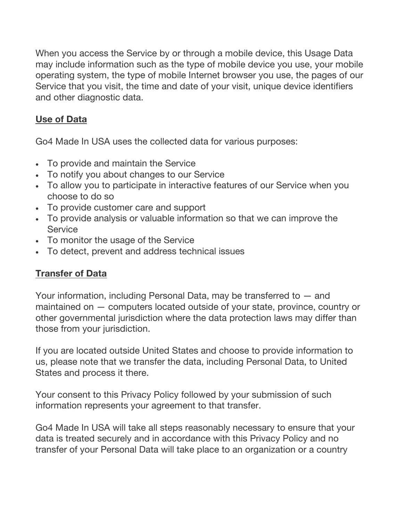When you access the Service by or through a mobile device, this Usage Data may include information such as the type of mobile device you use, your mobile operating system, the type of mobile Internet browser you use, the pages of our Service that you visit, the time and date of your visit, unique device identifiers and other diagnostic data.

# **Use of Data**

Go4 Made In USA uses the collected data for various purposes:

- To provide and maintain the Service
- To notify you about changes to our Service
- To allow you to participate in interactive features of our Service when you choose to do so
- To provide customer care and support
- To provide analysis or valuable information so that we can improve the **Service**
- To monitor the usage of the Service
- To detect, prevent and address technical issues

# **Transfer of Data**

Your information, including Personal Data, may be transferred to — and maintained on — computers located outside of your state, province, country or other governmental jurisdiction where the data protection laws may differ than those from your jurisdiction.

If you are located outside United States and choose to provide information to us, please note that we transfer the data, including Personal Data, to United States and process it there.

Your consent to this Privacy Policy followed by your submission of such information represents your agreement to that transfer.

Go4 Made In USA will take all steps reasonably necessary to ensure that your data is treated securely and in accordance with this Privacy Policy and no transfer of your Personal Data will take place to an organization or a country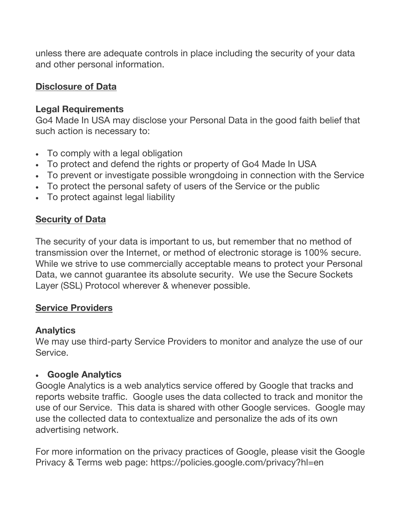unless there are adequate controls in place including the security of your data and other personal information.

## **Disclosure of Data**

### **Legal Requirements**

Go4 Made In USA may disclose your Personal Data in the good faith belief that such action is necessary to:

- To comply with a legal obligation
- To protect and defend the rights or property of Go4 Made In USA
- To prevent or investigate possible wrongdoing in connection with the Service
- To protect the personal safety of users of the Service or the public
- To protect against legal liability

### **Security of Data**

The security of your data is important to us, but remember that no method of transmission over the Internet, or method of electronic storage is 100% secure. While we strive to use commercially acceptable means to protect your Personal Data, we cannot guarantee its absolute security. We use the Secure Sockets Layer (SSL) Protocol wherever & whenever possible.

### **Service Providers**

### **Analytics**

We may use third-party Service Providers to monitor and analyze the use of our **Service** 

### • **Google Analytics**

Google Analytics is a web analytics service offered by Google that tracks and reports website traffic. Google uses the data collected to track and monitor the use of our Service. This data is shared with other Google services. Google may use the collected data to contextualize and personalize the ads of its own advertising network.

For more information on the privacy practices of Google, please visit the Google Privacy & Terms web page: https://policies.google.com/privacy?hl=en